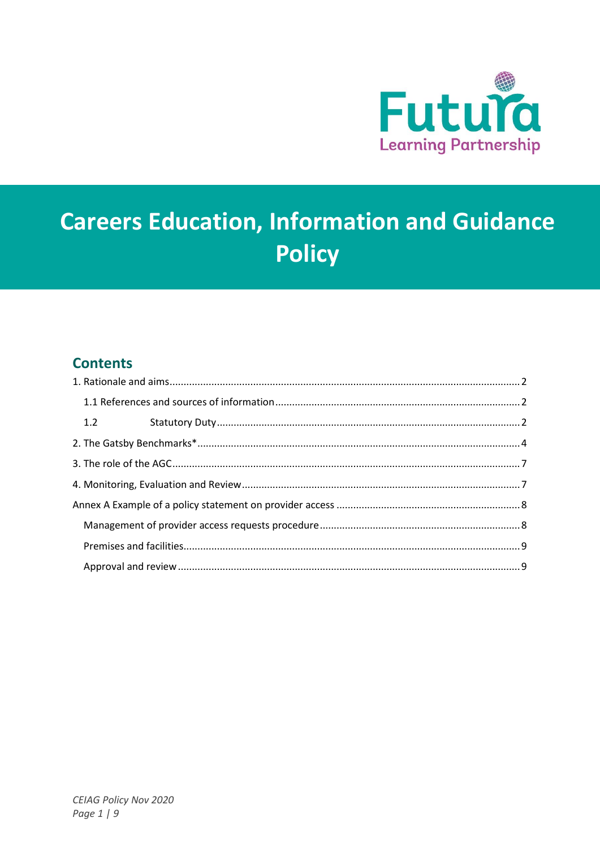

# **Careers Education, Information and Guidance Policy**

### **Contents**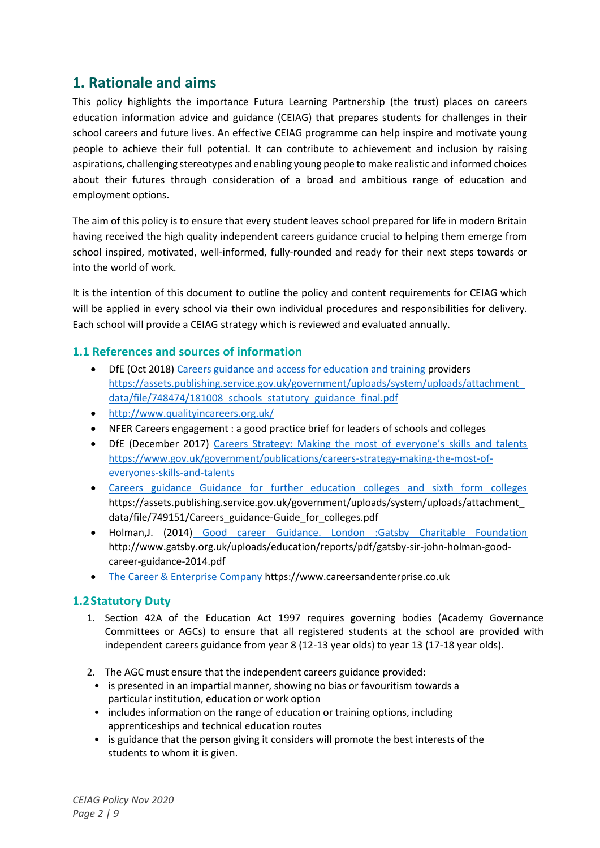### <span id="page-1-0"></span>**1. Rationale and aims**

This policy highlights the importance Futura Learning Partnership (the trust) places on careers education information advice and guidance (CEIAG) that prepares students for challenges in their school careers and future lives. An effective CEIAG programme can help inspire and motivate young people to achieve their full potential. It can contribute to achievement and inclusion by raising aspirations, challenging stereotypes and enabling young people to make realistic and informed choices about their futures through consideration of a broad and ambitious range of education and employment options.

The aim of this policy is to ensure that every student leaves school prepared for life in modern Britain having received the high quality independent careers guidance crucial to helping them emerge from school inspired, motivated, well-informed, fully-rounded and ready for their next steps towards or into the world of work.

It is the intention of this document to outline the policy and content requirements for CEIAG which will be applied in every school via their own individual procedures and responsibilities for delivery. Each school will provide a CEIAG strategy which is reviewed and evaluated annually.

#### <span id="page-1-1"></span>**1.1 References and sources of information**

- DfE (Oct 2018[\) Careers guidance and access for education and training](https://assets.publishing.service.gov.uk/government/uploads/system/uploads/attachment_data/file/748474/181008_schools_statutory_guidance_final.pdf) providers [https://assets.publishing.service.gov.uk/government/uploads/system/uploads/attachment\\_](https://assets.publishing.service.gov.uk/government/uploads/system/uploads/attachment_data/file/748474/181008_schools_statutory_guidance_final.pdf) data/file/748474/181008 schools statutory guidance final.pdf
- <http://www.qualityincareers.org.uk/>
- NFER Careers engagement : a good practice brief for leaders of schools and colleges
- DfE (December 2017) [Careers Strategy: Making the most of everyone's skills and talents](https://www.gov.uk/government/publications/careers-strategy-making-the-most-of-everyones-skills-and-talents) [https://www.gov.uk/government/publications/careers-strategy-making-the-most-of](https://www.gov.uk/government/publications/careers-strategy-making-the-most-of-everyones-skills-and-talents)[everyones-skills-and-talents](https://www.gov.uk/government/publications/careers-strategy-making-the-most-of-everyones-skills-and-talents)
- [Careers guidance Guidance for further education colleges and sixth form colleges](https://assets.publishing.service.gov.uk/government/uploads/system/uploads/attachment_data/file/749151/Careers_guidance-Guide_for_colleges.pdf) https://assets.publishing.service.gov.uk/government/uploads/system/uploads/attachment\_ data/file/749151/Careers\_guidance-Guide\_for\_colleges.pdf
- Holman,J. (2014) [Good career Guidance. London :Gatsby Charitable Foundation](http://www.gatsby.org.uk/uploads/education/reports/pdf/gatsby-sir-john-holman-good-career-guidance-2014.pdf) http://www.gatsby.org.uk/uploads/education/reports/pdf/gatsby-sir-john-holman-goodcareer-guidance-2014.pdf
- [The Career & Enterprise Company](https://www.careersandenterprise.co.uk/) https://www.careersandenterprise.co.uk

#### <span id="page-1-2"></span>**1.2Statutory Duty**

- 1. Section 42A of the Education Act 1997 requires governing bodies (Academy Governance Committees or AGCs) to ensure that all registered students at the school are provided with independent careers guidance from year 8 (12-13 year olds) to year 13 (17-18 year olds).
- 2. The AGC must ensure that the independent careers guidance provided:
- is presented in an impartial manner, showing no bias or favouritism towards a particular institution, education or work option
- includes information on the range of education or training options, including apprenticeships and technical education routes
- is guidance that the person giving it considers will promote the best interests of the students to whom it is given.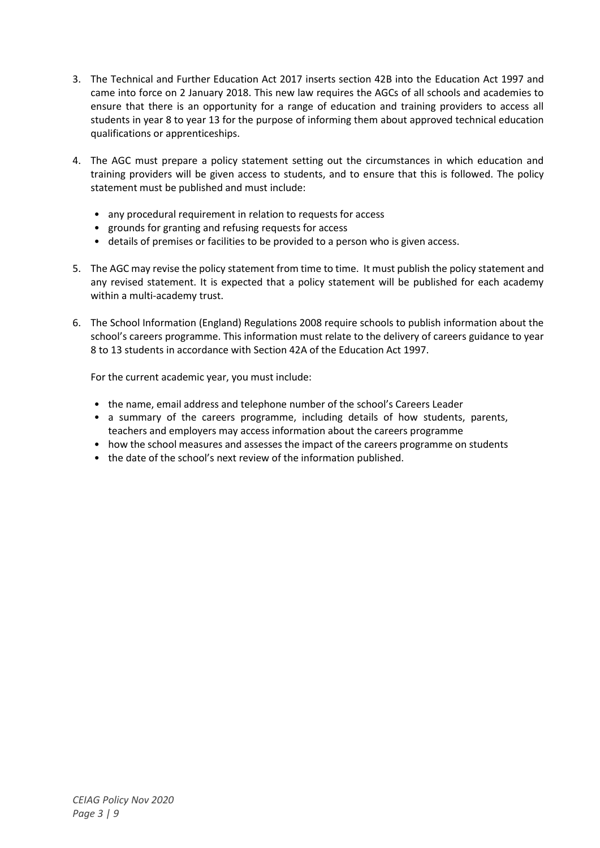- 3. The Technical and Further Education Act 2017 inserts section 42B into the Education Act 1997 and came into force on 2 January 2018. This new law requires the AGCs of all schools and academies to ensure that there is an opportunity for a range of education and training providers to access all students in year 8 to year 13 for the purpose of informing them about approved technical education qualifications or apprenticeships.
- 4. The AGC must prepare a policy statement setting out the circumstances in which education and training providers will be given access to students, and to ensure that this is followed. The policy statement must be published and must include:
	- any procedural requirement in relation to requests for access
	- grounds for granting and refusing requests for access
	- details of premises or facilities to be provided to a person who is given access.
- 5. The AGC may revise the policy statement from time to time. It must publish the policy statement and any revised statement. It is expected that a policy statement will be published for each academy within a multi-academy trust.
- 6. The School Information (England) Regulations 2008 require schools to publish information about the school's careers programme. This information must relate to the delivery of careers guidance to year 8 to 13 students in accordance with Section 42A of the Education Act 1997.

For the current academic year, you must include:

- the name, email address and telephone number of the school's Careers Leader
- a summary of the careers programme, including details of how students, parents, teachers and employers may access information about the careers programme
- how the school measures and assesses the impact of the careers programme on students
- the date of the school's next review of the information published.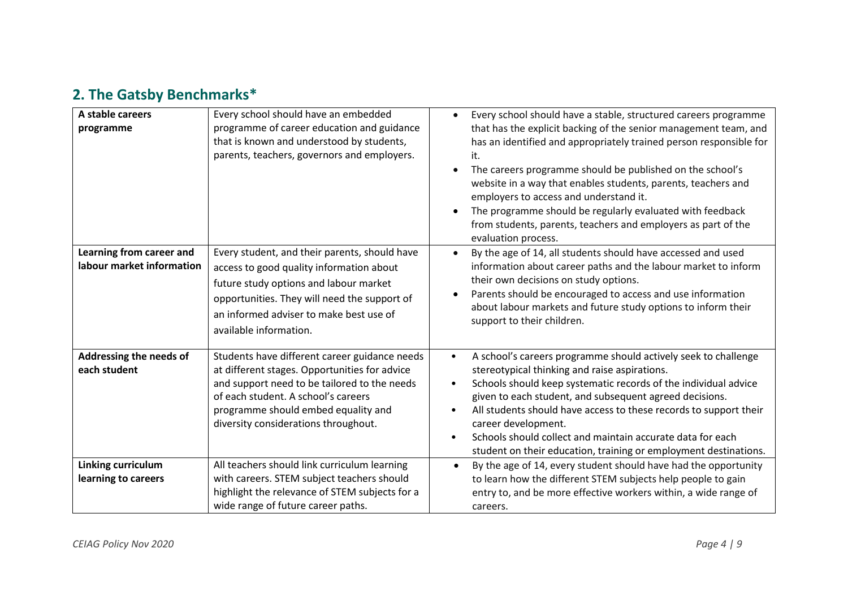## **2. The Gatsby Benchmarks\***

<span id="page-3-0"></span>

| A stable careers<br>programme                         | Every school should have an embedded<br>programme of career education and guidance<br>that is known and understood by students,<br>parents, teachers, governors and employers.                                                                                       | Every school should have a stable, structured careers programme<br>$\bullet$<br>that has the explicit backing of the senior management team, and<br>has an identified and appropriately trained person responsible for<br>it.<br>The careers programme should be published on the school's<br>website in a way that enables students, parents, teachers and<br>employers to access and understand it.<br>The programme should be regularly evaluated with feedback<br>from students, parents, teachers and employers as part of the<br>evaluation process. |  |
|-------------------------------------------------------|----------------------------------------------------------------------------------------------------------------------------------------------------------------------------------------------------------------------------------------------------------------------|------------------------------------------------------------------------------------------------------------------------------------------------------------------------------------------------------------------------------------------------------------------------------------------------------------------------------------------------------------------------------------------------------------------------------------------------------------------------------------------------------------------------------------------------------------|--|
| Learning from career and<br>labour market information | Every student, and their parents, should have<br>access to good quality information about<br>future study options and labour market<br>opportunities. They will need the support of<br>an informed adviser to make best use of<br>available information.             | By the age of 14, all students should have accessed and used<br>$\bullet$<br>information about career paths and the labour market to inform<br>their own decisions on study options.<br>Parents should be encouraged to access and use information<br>٠<br>about labour markets and future study options to inform their<br>support to their children.                                                                                                                                                                                                     |  |
| Addressing the needs of<br>each student               | Students have different career guidance needs<br>at different stages. Opportunities for advice<br>and support need to be tailored to the needs<br>of each student. A school's careers<br>programme should embed equality and<br>diversity considerations throughout. | A school's careers programme should actively seek to challenge<br>$\bullet$<br>stereotypical thinking and raise aspirations.<br>Schools should keep systematic records of the individual advice<br>$\bullet$<br>given to each student, and subsequent agreed decisions.<br>All students should have access to these records to support their<br>$\bullet$<br>career development.<br>Schools should collect and maintain accurate data for each<br>$\bullet$<br>student on their education, training or employment destinations.                            |  |
| Linking curriculum<br>learning to careers             | All teachers should link curriculum learning<br>with careers. STEM subject teachers should<br>highlight the relevance of STEM subjects for a<br>wide range of future career paths.                                                                                   | By the age of 14, every student should have had the opportunity<br>to learn how the different STEM subjects help people to gain<br>entry to, and be more effective workers within, a wide range of<br>careers.                                                                                                                                                                                                                                                                                                                                             |  |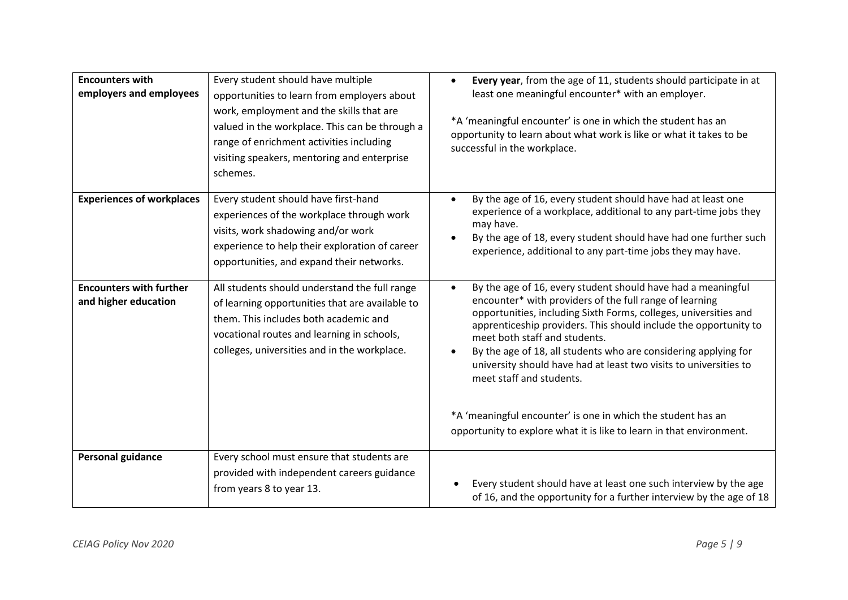| <b>Encounters with</b><br>employers and employees      | Every student should have multiple<br>opportunities to learn from employers about<br>work, employment and the skills that are<br>valued in the workplace. This can be through a<br>range of enrichment activities including<br>visiting speakers, mentoring and enterprise<br>schemes. | Every year, from the age of 11, students should participate in at<br>$\bullet$<br>least one meaningful encounter* with an employer.<br>*A 'meaningful encounter' is one in which the student has an<br>opportunity to learn about what work is like or what it takes to be<br>successful in the workplace.                                                                                                                                                                                                                                                                                                                             |  |
|--------------------------------------------------------|----------------------------------------------------------------------------------------------------------------------------------------------------------------------------------------------------------------------------------------------------------------------------------------|----------------------------------------------------------------------------------------------------------------------------------------------------------------------------------------------------------------------------------------------------------------------------------------------------------------------------------------------------------------------------------------------------------------------------------------------------------------------------------------------------------------------------------------------------------------------------------------------------------------------------------------|--|
| <b>Experiences of workplaces</b>                       | Every student should have first-hand<br>experiences of the workplace through work<br>visits, work shadowing and/or work<br>experience to help their exploration of career<br>opportunities, and expand their networks.                                                                 | By the age of 16, every student should have had at least one<br>$\bullet$<br>experience of a workplace, additional to any part-time jobs they<br>may have.<br>By the age of 18, every student should have had one further such<br>$\bullet$<br>experience, additional to any part-time jobs they may have.                                                                                                                                                                                                                                                                                                                             |  |
| <b>Encounters with further</b><br>and higher education | All students should understand the full range<br>of learning opportunities that are available to<br>them. This includes both academic and<br>vocational routes and learning in schools,<br>colleges, universities and in the workplace.                                                | By the age of 16, every student should have had a meaningful<br>$\bullet$<br>encounter* with providers of the full range of learning<br>opportunities, including Sixth Forms, colleges, universities and<br>apprenticeship providers. This should include the opportunity to<br>meet both staff and students.<br>By the age of 18, all students who are considering applying for<br>$\bullet$<br>university should have had at least two visits to universities to<br>meet staff and students.<br>*A 'meaningful encounter' is one in which the student has an<br>opportunity to explore what it is like to learn in that environment. |  |
| <b>Personal guidance</b>                               | Every school must ensure that students are<br>provided with independent careers guidance<br>from years 8 to year 13.                                                                                                                                                                   | Every student should have at least one such interview by the age<br>of 16, and the opportunity for a further interview by the age of 18                                                                                                                                                                                                                                                                                                                                                                                                                                                                                                |  |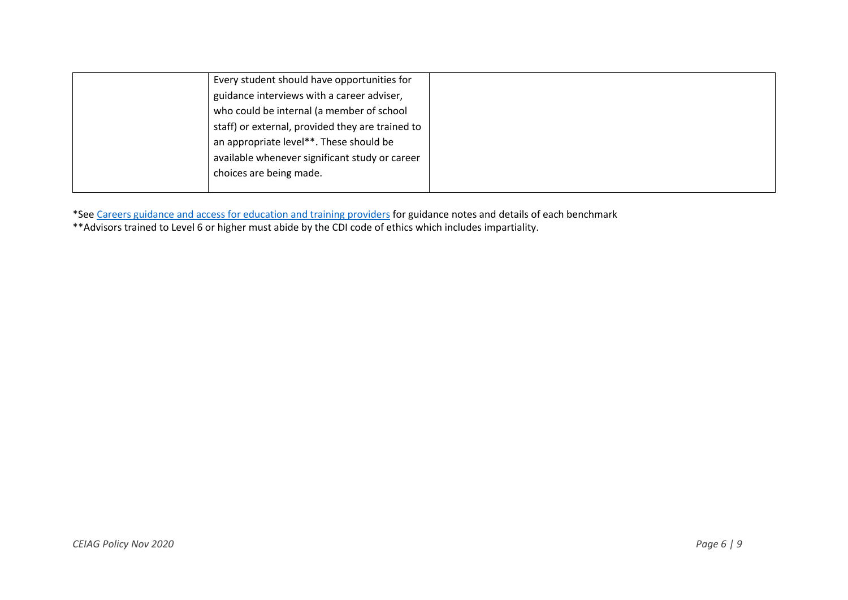| Every student should have opportunities for      |  |
|--------------------------------------------------|--|
| guidance interviews with a career adviser,       |  |
| who could be internal (a member of school        |  |
| staff) or external, provided they are trained to |  |
| an appropriate level**. These should be          |  |
| available whenever significant study or career   |  |
| choices are being made.                          |  |
|                                                  |  |

\*See [Careers guidance and access for education and training providers](https://assets.publishing.service.gov.uk/government/uploads/system/uploads/attachment_data/file/748474/181008_schools_statutory_guidance_final.pdf) for guidance notes and details of each benchmark

\*\*Advisors trained to Level 6 or higher must abide by the CDI code of ethics which includes impartiality.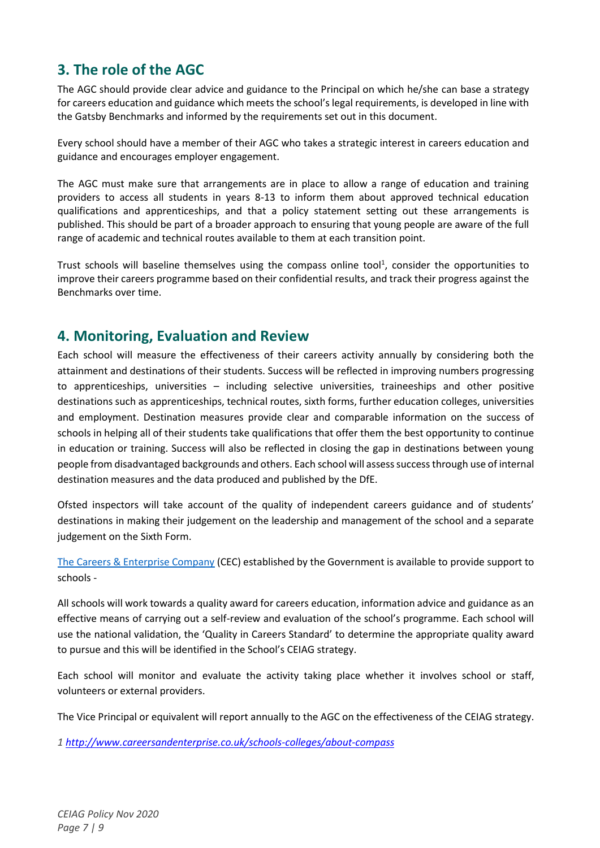### <span id="page-6-0"></span>**3. The role of the AGC**

The AGC should provide clear advice and guidance to the Principal on which he/she can base a strategy for careers education and guidance which meets the school's legal requirements, is developed in line with the Gatsby Benchmarks and informed by the requirements set out in this document.

Every school should have a member of their AGC who takes a strategic interest in careers education and guidance and encourages employer engagement.

The AGC must make sure that arrangements are in place to allow a range of education and training providers to access all students in years 8-13 to inform them about approved technical education qualifications and apprenticeships, and that a policy statement setting out these arrangements is published. This should be part of a broader approach to ensuring that young people are aware of the full range of academic and technical routes available to them at each transition point.

Trust schools will baseline themselves using the compass online tool<sup>1</sup>, consider the opportunities to improve their careers programme based on their confidential results, and track their progress against the Benchmarks over time.

### <span id="page-6-1"></span>**4. Monitoring, Evaluation and Review**

Each school will measure the effectiveness of their careers activity annually by considering both the attainment and destinations of their students. Success will be reflected in improving numbers progressing to apprenticeships, universities – including selective universities, traineeships and other positive destinations such as apprenticeships, technical routes, sixth forms, further education colleges, universities and employment. Destination measures provide clear and comparable information on the success of schools in helping all of their students take qualifications that offer them the best opportunity to continue in education or training. Success will also be reflected in closing the gap in destinations between young people from disadvantaged backgrounds and others. Each school will assess success through use of internal destination measures and the data produced and published by the DfE.

Ofsted inspectors will take account of the quality of independent careers guidance and of students' destinations in making their judgement on the leadership and management of the school and a separate judgement on the Sixth Form.

[The Careers & Enterprise Company](https://www.careersandenterprise.co.uk/schools-and-colleges) (CEC) established by the Government is available to provide support to schools -

All schools will work towards a quality award for careers education, information advice and guidance as an effective means of carrying out a self-review and evaluation of the school's programme. Each school will use the national validation, the 'Quality in Careers Standard' to determine the appropriate quality award to pursue and this will be identified in the School's CEIAG strategy.

Each school will monitor and evaluate the activity taking place whether it involves school or staff, volunteers or external providers.

The Vice Principal or equivalent will report annually to the AGC on the effectiveness of the CEIAG strategy.

*1<http://www.careersandenterprise.co.uk/schools-colleges/about-compass>*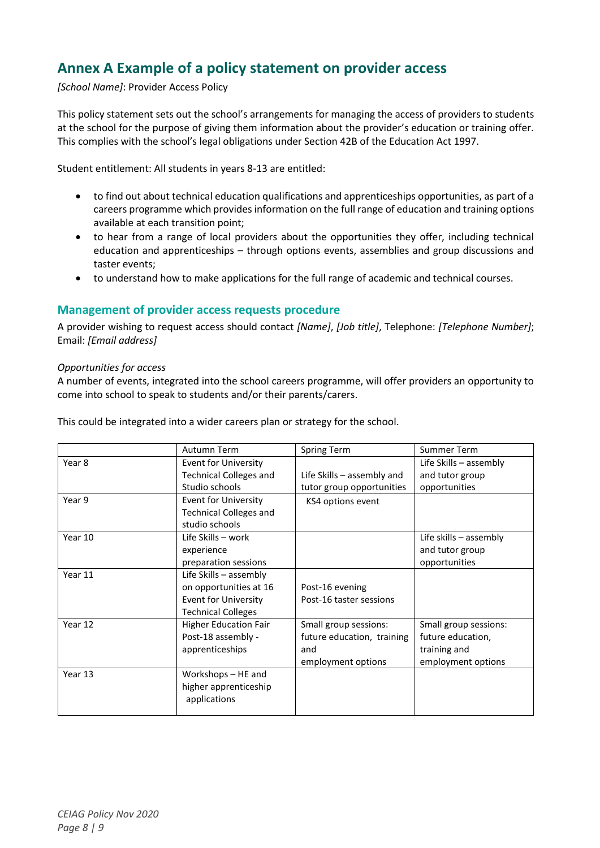### <span id="page-7-0"></span>**Annex A Example of a policy statement on provider access**

*[School Name]*: Provider Access Policy

This policy statement sets out the school's arrangements for managing the access of providers to students at the school for the purpose of giving them information about the provider's education or training offer. This complies with the school's legal obligations under Section 42B of the Education Act 1997.

Student entitlement: All students in years 8-13 are entitled:

- to find out about technical education qualifications and apprenticeships opportunities, as part of a careers programme which provides information on the full range of education and training options available at each transition point;
- to hear from a range of local providers about the opportunities they offer, including technical education and apprenticeships – through options events, assemblies and group discussions and taster events;
- to understand how to make applications for the full range of academic and technical courses.

#### <span id="page-7-1"></span>**Management of provider access requests procedure**

A provider wishing to request access should contact *[Name]*, *[Job title]*, Telephone: *[Telephone Number]*; Email: *[Email address]*

#### *Opportunities for access*

A number of events, integrated into the school careers programme, will offer providers an opportunity to come into school to speak to students and/or their parents/carers.

This could be integrated into a wider careers plan or strategy for the school.

|         | Autumn Term                   | Spring Term                | <b>Summer Term</b>       |
|---------|-------------------------------|----------------------------|--------------------------|
| Year 8  | <b>Event for University</b>   |                            | Life Skills $-$ assembly |
|         | <b>Technical Colleges and</b> | Life Skills - assembly and | and tutor group          |
|         | Studio schools                | tutor group opportunities  | opportunities            |
| Year 9  | <b>Event for University</b>   | KS4 options event          |                          |
|         | <b>Technical Colleges and</b> |                            |                          |
|         | studio schools                |                            |                          |
| Year 10 | Life Skills - work            |                            | Life skills $-$ assembly |
|         | experience                    |                            | and tutor group          |
|         | preparation sessions          |                            | opportunities            |
| Year 11 | Life Skills - assembly        |                            |                          |
|         | on opportunities at 16        | Post-16 evening            |                          |
|         | <b>Event for University</b>   | Post-16 taster sessions    |                          |
|         | <b>Technical Colleges</b>     |                            |                          |
| Year 12 | <b>Higher Education Fair</b>  | Small group sessions:      | Small group sessions:    |
|         | Post-18 assembly -            | future education, training | future education,        |
|         | apprenticeships               | and                        | training and             |
|         |                               | employment options         | employment options       |
| Year 13 | Workshops - HE and            |                            |                          |
|         | higher apprenticeship         |                            |                          |
|         | applications                  |                            |                          |
|         |                               |                            |                          |